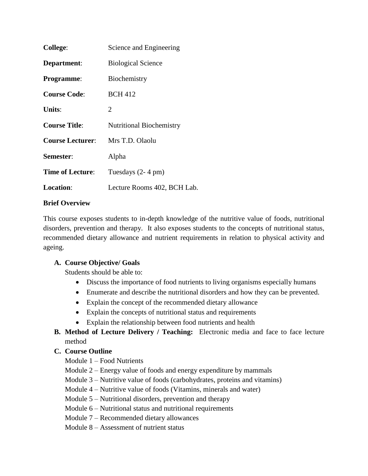| <b>College:</b>         | Science and Engineering         |
|-------------------------|---------------------------------|
| Department:             | <b>Biological Science</b>       |
| <b>Programme:</b>       | Biochemistry                    |
| <b>Course Code:</b>     | <b>BCH 412</b>                  |
| Units:                  | 2                               |
| <b>Course Title:</b>    | <b>Nutritional Biochemistry</b> |
| <b>Course Lecturer:</b> | Mrs T.D. Olaolu                 |
| Semester:               | Alpha                           |
| <b>Time of Lecture:</b> | Tuesdays $(2-4$ pm $)$          |
| <b>Location:</b>        | Lecture Rooms 402, BCH Lab.     |

#### **Brief Overview**

This course exposes students to in-depth knowledge of the nutritive value of foods, nutritional disorders, prevention and therapy. It also exposes students to the concepts of nutritional status, recommended dietary allowance and nutrient requirements in relation to physical activity and ageing.

#### **A. Course Objective/ Goals**

Students should be able to:

- Discuss the importance of food nutrients to living organisms especially humans
- Enumerate and describe the nutritional disorders and how they can be prevented.
- Explain the concept of the recommended dietary allowance
- Explain the concepts of nutritional status and requirements
- Explain the relationship between food nutrients and health
- **B. Method of Lecture Delivery / Teaching:** Electronic media and face to face lecture method

#### **C. Course Outline**

Module 1 – Food Nutrients

- Module 2 Energy value of foods and energy expenditure by mammals
- Module 3 Nutritive value of foods (carbohydrates, proteins and vitamins)
- Module 4 Nutritive value of foods (Vitamins, minerals and water)
- Module 5 Nutritional disorders, prevention and therapy
- Module 6 Nutritional status and nutritional requirements
- Module 7 Recommended dietary allowances
- Module 8 Assessment of nutrient status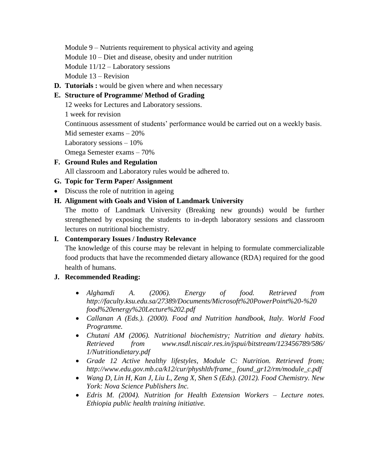Module 9 – Nutrients requirement to physical activity and ageing

Module 10 – Diet and disease, obesity and under nutrition

Module 11/12 – Laboratory sessions

Module 13 – Revision

**D. Tutorials :** would be given where and when necessary

#### **E. Structure of Programme/ Method of Grading**

12 weeks for Lectures and Laboratory sessions.

1 week for revision

Continuous assessment of students' performance would be carried out on a weekly basis.

Mid semester exams – 20%

Laboratory sessions – 10%

Omega Semester exams – 70%

## **F. Ground Rules and Regulation**

All classroom and Laboratory rules would be adhered to.

## **G. Topic for Term Paper/ Assignment**

• Discuss the role of nutrition in ageing

## **H. Alignment with Goals and Vision of Landmark University**

The motto of Landmark University (Breaking new grounds) would be further strengthened by exposing the students to in-depth laboratory sessions and classroom lectures on nutritional biochemistry.

## **I. Contemporary Issues / Industry Relevance**

The knowledge of this course may be relevant in helping to formulate commercializable food products that have the recommended dietary allowance (RDA) required for the good health of humans.

# **J. Recommended Reading:**

- *Alghamdi A. (2006). Energy of food. Retrieved from http://faculty.ksu.edu.sa/27389/Documents/Microsoft%20PowerPoint%20-%20 food%20energy%20Lecture%202.pdf*
- *Callanan A (Eds.). (2000). Food and Nutrition handbook, Italy. World Food Programme.*
- *Chutani AM (2006). Nutritional biochemistry; Nutrition and dietary habits. Retrieved from www.nsdl.niscair.res.in/jspui/bitstream/123456789/586/ 1/Nutritiondietary.pdf*
- *Grade 12 Active healthy lifestyles, Module C: Nutrition. Retrieved from; http://www.edu.gov.mb.ca/k12/cur/physhlth/frame\_ found\_gr12/rm/module\_c.pdf*
- *Wang D, Lin H, Kan J, Liu L, Zeng X, Shen S (Eds). (2012). Food Chemistry. New York: Nova Science Publishers Inc.*
- *Edris M. (2004). Nutrition for Health Extension Workers – Lecture notes. Ethiopia public health training initiative.*